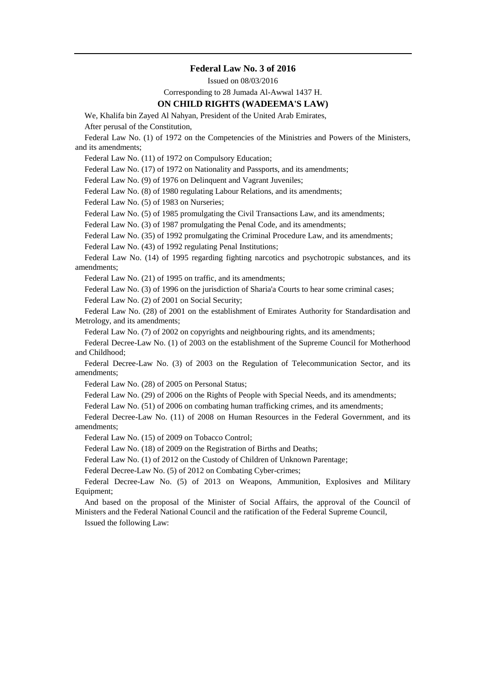# **Federal Law No. 3 of 2016**

Issued on 08/03/2016

Corresponding to 28 Jumada Al-Awwal 1437 H.

# **ON CHILD RIGHTS (WADEEMA'S LAW)**

We, Khalifa bin Zayed Al Nahyan, President of the United Arab Emirates, After perusal of the Constitution,

Federal Law No. (1) of 1972 on the Competencies of the Ministries and Powers of the Ministers,

and its amendments;

Federal Law No. (11) of 1972 on Compulsory Education;

Federal Law No. (17) of 1972 on Nationality and Passports, and its amendments;

Federal Law No. (9) of 1976 on Delinquent and Vagrant Juveniles;

Federal Law No. (8) of 1980 regulating Labour Relations, and its amendments;

Federal Law No. (5) of 1983 on Nurseries;

Federal Law No. (5) of 1985 promulgating the Civil Transactions Law, and its amendments;

Federal Law No. (3) of 1987 promulgating the Penal Code, and its amendments;

Federal Law No. (35) of 1992 promulgating the Criminal Procedure Law, and its amendments;

Federal Law No. (43) of 1992 regulating Penal Institutions;

Federal Law No. (14) of 1995 regarding fighting narcotics and psychotropic substances, and its amendments;

Federal Law No. (21) of 1995 on traffic, and its amendments;

Federal Law No. (3) of 1996 on the jurisdiction of Sharia'a Courts to hear some criminal cases;

Federal Law No. (2) of 2001 on Social Security;

Federal Law No. (28) of 2001 on the establishment of Emirates Authority for Standardisation and Metrology, and its amendments;

Federal Law No. (7) of 2002 on copyrights and neighbouring rights, and its amendments;

Federal Decree-Law No. (1) of 2003 on the establishment of the Supreme Council for Motherhood and Childhood;

Federal Decree-Law No. (3) of 2003 on the Regulation of Telecommunication Sector, and its amendments;

Federal Law No. (28) of 2005 on Personal Status;

Federal Law No. (29) of 2006 on the Rights of People with Special Needs, and its amendments;

Federal Law No. (51) of 2006 on combating human trafficking crimes, and its amendments;

Federal Decree-Law No. (11) of 2008 on Human Resources in the Federal Government, and its amendments;

Federal Law No. (15) of 2009 on Tobacco Control;

Federal Law No. (18) of 2009 on the Registration of Births and Deaths;

Federal Law No. (1) of 2012 on the Custody of Children of Unknown Parentage;

Federal Decree-Law No. (5) of 2012 on Combating Cyber-crimes;

Federal Decree-Law No. (5) of 2013 on Weapons, Ammunition, Explosives and Military Equipment;

And based on the proposal of the Minister of Social Affairs, the approval of the Council of Ministers and the Federal National Council and the ratification of the Federal Supreme Council,

Issued the following Law: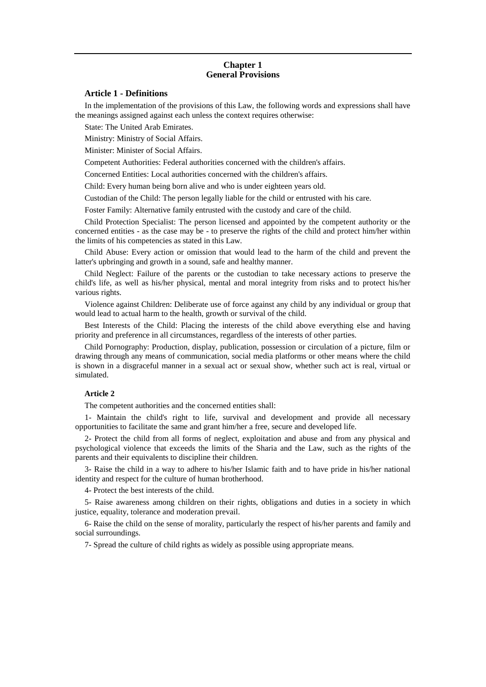## **Chapter 1 General Provisions**

## **Article 1 - Definitions**

In the implementation of the provisions of this Law, the following words and expressions shall have the meanings assigned against each unless the context requires otherwise:

State: The United Arab Emirates.

Ministry: Ministry of Social Affairs.

Minister: Minister of Social Affairs.

Competent Authorities: Federal authorities concerned with the children's affairs.

Concerned Entities: Local authorities concerned with the children's affairs.

Child: Every human being born alive and who is under eighteen years old.

Custodian of the Child: The person legally liable for the child or entrusted with his care.

Foster Family: Alternative family entrusted with the custody and care of the child.

Child Protection Specialist: The person licensed and appointed by the competent authority or the concerned entities - as the case may be - to preserve the rights of the child and protect him/her within the limits of his competencies as stated in this Law.

Child Abuse: Every action or omission that would lead to the harm of the child and prevent the latter's upbringing and growth in a sound, safe and healthy manner.

Child Neglect: Failure of the parents or the custodian to take necessary actions to preserve the child's life, as well as his/her physical, mental and moral integrity from risks and to protect his/her various rights.

Violence against Children: Deliberate use of force against any child by any individual or group that would lead to actual harm to the health, growth or survival of the child.

Best Interests of the Child: Placing the interests of the child above everything else and having priority and preference in all circumstances, regardless of the interests of other parties.

Child Pornography: Production, display, publication, possession or circulation of a picture, film or drawing through any means of communication, social media platforms or other means where the child is shown in a disgraceful manner in a sexual act or sexual show, whether such act is real, virtual or simulated.

### **Article 2**

The competent authorities and the concerned entities shall:

1- Maintain the child's right to life, survival and development and provide all necessary opportunities to facilitate the same and grant him/her a free, secure and developed life.

2- Protect the child from all forms of neglect, exploitation and abuse and from any physical and psychological violence that exceeds the limits of the Sharia and the Law, such as the rights of the parents and their equivalents to discipline their children.

3- Raise the child in a way to adhere to his/her Islamic faith and to have pride in his/her national identity and respect for the culture of human brotherhood.

4- Protect the best interests of the child.

5- Raise awareness among children on their rights, obligations and duties in a society in which justice, equality, tolerance and moderation prevail.

6- Raise the child on the sense of morality, particularly the respect of his/her parents and family and social surroundings.

7- Spread the culture of child rights as widely as possible using appropriate means.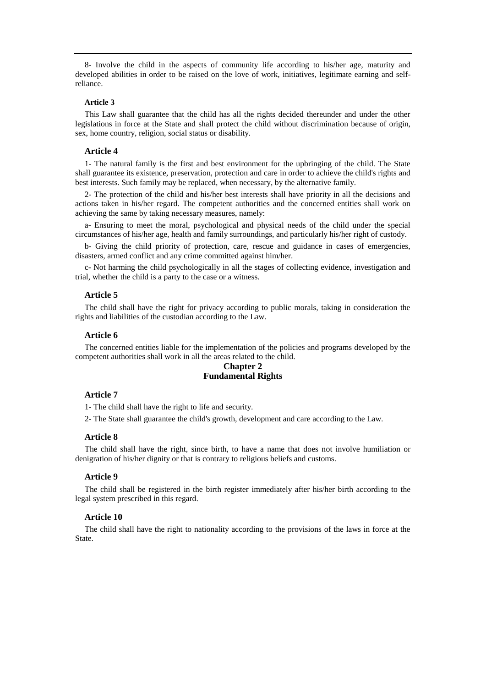8- Involve the child in the aspects of community life according to his/her age, maturity and developed abilities in order to be raised on the love of work, initiatives, legitimate earning and selfreliance.

### **Article 3**

This Law shall guarantee that the child has all the rights decided thereunder and under the other legislations in force at the State and shall protect the child without discrimination because of origin, sex, home country, religion, social status or disability.

## **Article 4**

1- The natural family is the first and best environment for the upbringing of the child. The State shall guarantee its existence, preservation, protection and care in order to achieve the child's rights and best interests. Such family may be replaced, when necessary, by the alternative family.

2- The protection of the child and his/her best interests shall have priority in all the decisions and actions taken in his/her regard. The competent authorities and the concerned entities shall work on achieving the same by taking necessary measures, namely:

a- Ensuring to meet the moral, psychological and physical needs of the child under the special circumstances of his/her age, health and family surroundings, and particularly his/her right of custody.

b- Giving the child priority of protection, care, rescue and guidance in cases of emergencies, disasters, armed conflict and any crime committed against him/her.

c- Not harming the child psychologically in all the stages of collecting evidence, investigation and trial, whether the child is a party to the case or a witness.

#### **Article 5**

The child shall have the right for privacy according to public morals, taking in consideration the rights and liabilities of the custodian according to the Law.

## **Article 6**

The concerned entities liable for the implementation of the policies and programs developed by the competent authorities shall work in all the areas related to the child.

# **Chapter 2 Fundamental Rights**

## **Article 7**

1- The child shall have the right to life and security.

2- The State shall guarantee the child's growth, development and care according to the Law.

#### **Article 8**

The child shall have the right, since birth, to have a name that does not involve humiliation or denigration of his/her dignity or that is contrary to religious beliefs and customs.

## **Article 9**

The child shall be registered in the birth register immediately after his/her birth according to the legal system prescribed in this regard.

### **Article 10**

The child shall have the right to nationality according to the provisions of the laws in force at the State.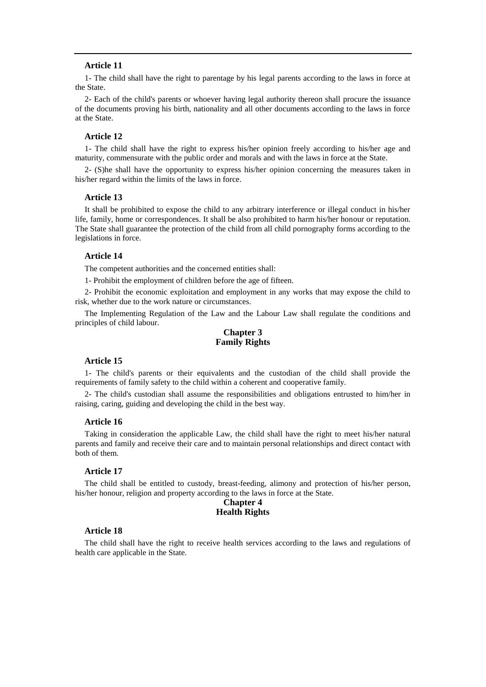1- The child shall have the right to parentage by his legal parents according to the laws in force at the State.

2- Each of the child's parents or whoever having legal authority thereon shall procure the issuance of the documents proving his birth, nationality and all other documents according to the laws in force at the State.

### **Article 12**

1- The child shall have the right to express his/her opinion freely according to his/her age and maturity, commensurate with the public order and morals and with the laws in force at the State.

2- (S)he shall have the opportunity to express his/her opinion concerning the measures taken in his/her regard within the limits of the laws in force.

# **Article 13**

It shall be prohibited to expose the child to any arbitrary interference or illegal conduct in his/her life, family, home or correspondences. It shall be also prohibited to harm his/her honour or reputation. The State shall guarantee the protection of the child from all child pornography forms according to the legislations in force.

## **Article 14**

The competent authorities and the concerned entities shall:

1- Prohibit the employment of children before the age of fifteen.

2- Prohibit the economic exploitation and employment in any works that may expose the child to risk, whether due to the work nature or circumstances.

The Implementing Regulation of the Law and the Labour Law shall regulate the conditions and principles of child labour.

# **Chapter 3 Family Rights**

#### **Article 15**

1- The child's parents or their equivalents and the custodian of the child shall provide the requirements of family safety to the child within a coherent and cooperative family.

2- The child's custodian shall assume the responsibilities and obligations entrusted to him/her in raising, caring, guiding and developing the child in the best way.

#### **Article 16**

Taking in consideration the applicable Law, the child shall have the right to meet his/her natural parents and family and receive their care and to maintain personal relationships and direct contact with both of them.

## **Article 17**

The child shall be entitled to custody, breast-feeding, alimony and protection of his/her person, his/her honour, religion and property according to the laws in force at the State.

## **Chapter 4 Health Rights**

## **Article 18**

The child shall have the right to receive health services according to the laws and regulations of health care applicable in the State.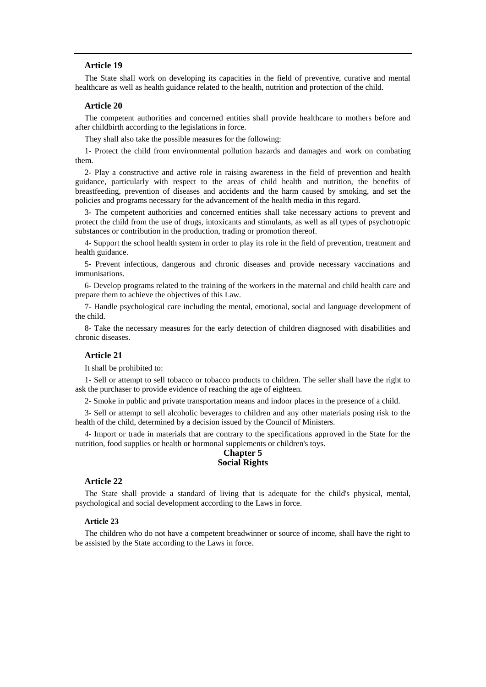The State shall work on developing its capacities in the field of preventive, curative and mental healthcare as well as health guidance related to the health, nutrition and protection of the child.

# **Article 20**

The competent authorities and concerned entities shall provide healthcare to mothers before and after childbirth according to the legislations in force.

They shall also take the possible measures for the following:

1- Protect the child from environmental pollution hazards and damages and work on combating them.

2- Play a constructive and active role in raising awareness in the field of prevention and health guidance, particularly with respect to the areas of child health and nutrition, the benefits of breastfeeding, prevention of diseases and accidents and the harm caused by smoking, and set the policies and programs necessary for the advancement of the health media in this regard.

3- The competent authorities and concerned entities shall take necessary actions to prevent and protect the child from the use of drugs, intoxicants and stimulants, as well as all types of psychotropic substances or contribution in the production, trading or promotion thereof.

4- Support the school health system in order to play its role in the field of prevention, treatment and health guidance.

5- Prevent infectious, dangerous and chronic diseases and provide necessary vaccinations and immunisations.

6- Develop programs related to the training of the workers in the maternal and child health care and prepare them to achieve the objectives of this Law.

7- Handle psychological care including the mental, emotional, social and language development of the child.

8- Take the necessary measures for the early detection of children diagnosed with disabilities and chronic diseases.

## **Article 21**

It shall be prohibited to:

1- Sell or attempt to sell tobacco or tobacco products to children. The seller shall have the right to ask the purchaser to provide evidence of reaching the age of eighteen.

2- Smoke in public and private transportation means and indoor places in the presence of a child.

3- Sell or attempt to sell alcoholic beverages to children and any other materials posing risk to the health of the child, determined by a decision issued by the Council of Ministers.

4- Import or trade in materials that are contrary to the specifications approved in the State for the nutrition, food supplies or health or hormonal supplements or children's toys.

## **Chapter 5 Social Rights**

### **Article 22**

The State shall provide a standard of living that is adequate for the child's physical, mental, psychological and social development according to the Laws in force.

#### **Article 23**

The children who do not have a competent breadwinner or source of income, shall have the right to be assisted by the State according to the Laws in force.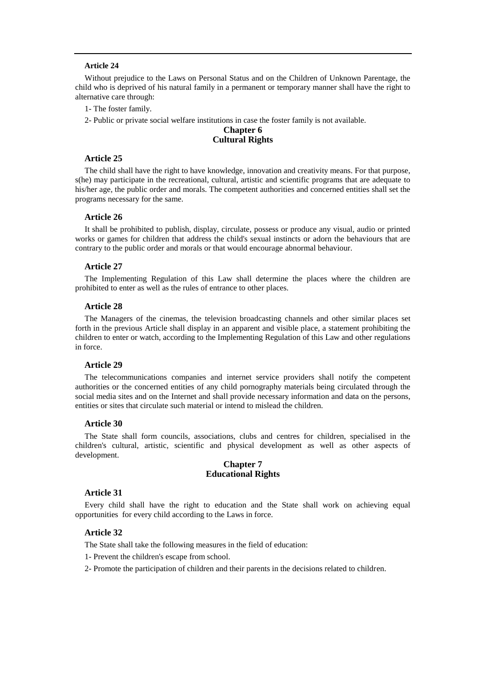Without prejudice to the Laws on Personal Status and on the Children of Unknown Parentage, the child who is deprived of his natural family in a permanent or temporary manner shall have the right to alternative care through:

1- The foster family.

2- Public or private social welfare institutions in case the foster family is not available.

## **Chapter 6 Cultural Rights**

## **Article 25**

The child shall have the right to have knowledge, innovation and creativity means. For that purpose, s(he) may participate in the recreational, cultural, artistic and scientific programs that are adequate to his/her age, the public order and morals. The competent authorities and concerned entities shall set the programs necessary for the same.

### **Article 26**

It shall be prohibited to publish, display, circulate, possess or produce any visual, audio or printed works or games for children that address the child's sexual instincts or adorn the behaviours that are contrary to the public order and morals or that would encourage abnormal behaviour.

## **Article 27**

The Implementing Regulation of this Law shall determine the places where the children are prohibited to enter as well as the rules of entrance to other places.

## **Article 28**

The Managers of the cinemas, the television broadcasting channels and other similar places set forth in the previous Article shall display in an apparent and visible place, a statement prohibiting the children to enter or watch, according to the Implementing Regulation of this Law and other regulations in force.

### **Article 29**

The telecommunications companies and internet service providers shall notify the competent authorities or the concerned entities of any child pornography materials being circulated through the social media sites and on the Internet and shall provide necessary information and data on the persons, entities or sites that circulate such material or intend to mislead the children.

### **Article 30**

The State shall form councils, associations, clubs and centres for children, specialised in the children's cultural, artistic, scientific and physical development as well as other aspects of development.

## **Chapter 7 Educational Rights**

### **Article 31**

Every child shall have the right to education and the State shall work on achieving equal opportunities for every child according to the Laws in force.

### **Article 32**

The State shall take the following measures in the field of education:

1- Prevent the children's escape from school.

2- Promote the participation of children and their parents in the decisions related to children.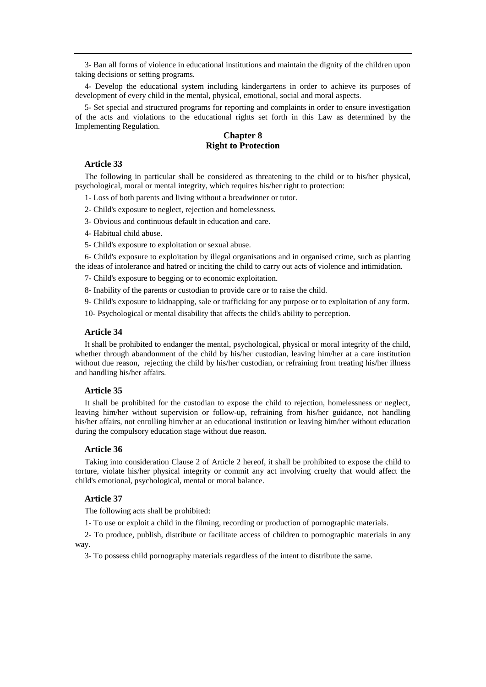3- Ban all forms of violence in educational institutions and maintain the dignity of the children upon taking decisions or setting programs.

4- Develop the educational system including kindergartens in order to achieve its purposes of development of every child in the mental, physical, emotional, social and moral aspects.

5- Set special and structured programs for reporting and complaints in order to ensure investigation of the acts and violations to the educational rights set forth in this Law as determined by the Implementing Regulation.

# **Chapter 8 Right to Protection**

## **Article 33**

The following in particular shall be considered as threatening to the child or to his/her physical, psychological, moral or mental integrity, which requires his/her right to protection:

1- Loss of both parents and living without a breadwinner or tutor.

2- Child's exposure to neglect, rejection and homelessness.

3- Obvious and continuous default in education and care.

4- Habitual child abuse.

5- Child's exposure to exploitation or sexual abuse.

6- Child's exposure to exploitation by illegal organisations and in organised crime, such as planting the ideas of intolerance and hatred or inciting the child to carry out acts of violence and intimidation.

7- Child's exposure to begging or to economic exploitation.

8- Inability of the parents or custodian to provide care or to raise the child.

9- Child's exposure to kidnapping, sale or trafficking for any purpose or to exploitation of any form.

10- Psychological or mental disability that affects the child's ability to perception.

### **Article 34**

It shall be prohibited to endanger the mental, psychological, physical or moral integrity of the child, whether through abandonment of the child by his/her custodian, leaving him/her at a care institution without due reason, rejecting the child by his/her custodian, or refraining from treating his/her illness and handling his/her affairs.

# **Article 35**

It shall be prohibited for the custodian to expose the child to rejection, homelessness or neglect, leaving him/her without supervision or follow-up, refraining from his/her guidance, not handling his/her affairs, not enrolling him/her at an educational institution or leaving him/her without education during the compulsory education stage without due reason.

## **Article 36**

Taking into consideration Clause 2 of Article 2 hereof, it shall be prohibited to expose the child to torture, violate his/her physical integrity or commit any act involving cruelty that would affect the child's emotional, psychological, mental or moral balance.

## **Article 37**

The following acts shall be prohibited:

1- To use or exploit a child in the filming, recording or production of pornographic materials.

2- To produce, publish, distribute or facilitate access of children to pornographic materials in any way.

3- To possess child pornography materials regardless of the intent to distribute the same.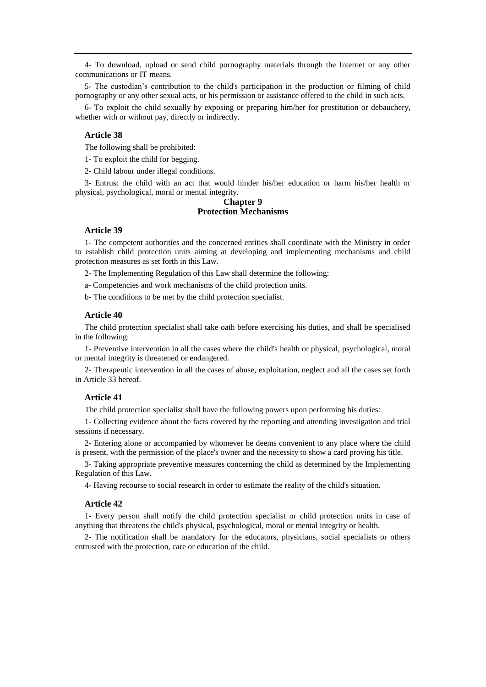4- To download, upload or send child pornography materials through the Internet or any other communications or IT means.

5- The custodian's contribution to the child's participation in the production or filming of child pornography or any other sexual acts, or his permission or assistance offered to the child in such acts.

6- To exploit the child sexually by exposing or preparing him/her for prostitution or debauchery, whether with or without pay, directly or indirectly.

# **Article 38**

The following shall be prohibited:

1- To exploit the child for begging.

2- Child labour under illegal conditions.

3- Entrust the child with an act that would hinder his/her education or harm his/her health or physical, psychological, moral or mental integrity.

# **Chapter 9 Protection Mechanisms**

# **Article 39**

1- The competent authorities and the concerned entities shall coordinate with the Ministry in order to establish child protection units aiming at developing and implementing mechanisms and child protection measures as set forth in this Law.

2- The Implementing Regulation of this Law shall determine the following:

a- Competencies and work mechanisms of the child protection units.

b- The conditions to be met by the child protection specialist.

### **Article 40**

The child protection specialist shall take oath before exercising his duties, and shall be specialised in the following:

1- Preventive intervention in all the cases where the child's health or physical, psychological, moral or mental integrity is threatened or endangered.

2- Therapeutic intervention in all the cases of abuse, exploitation, neglect and all the cases set forth in Article 33 hereof.

# **Article 41**

The child protection specialist shall have the following powers upon performing his duties:

1- Collecting evidence about the facts covered by the reporting and attending investigation and trial sessions if necessary.

2- Entering alone or accompanied by whomever he deems convenient to any place where the child is present, with the permission of the place's owner and the necessity to show a card proving his title.

3- Taking appropriate preventive measures concerning the child as determined by the Implementing Regulation of this Law.

4- Having recourse to social research in order to estimate the reality of the child's situation.

## **Article 42**

1- Every person shall notify the child protection specialist or child protection units in case of anything that threatens the child's physical, psychological, moral or mental integrity or health.

2- The notification shall be mandatory for the educators, physicians, social specialists or others entrusted with the protection, care or education of the child.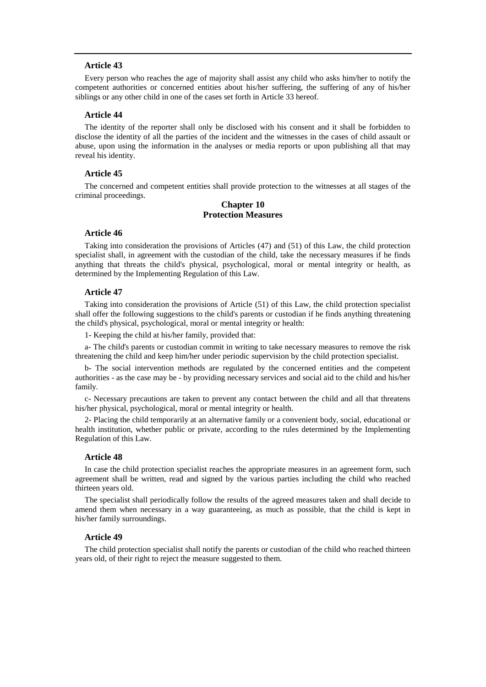Every person who reaches the age of majority shall assist any child who asks him/her to notify the competent authorities or concerned entities about his/her suffering, the suffering of any of his/her siblings or any other child in one of the cases set forth in Article 33 hereof.

## **Article 44**

The identity of the reporter shall only be disclosed with his consent and it shall be forbidden to disclose the identity of all the parties of the incident and the witnesses in the cases of child assault or abuse, upon using the information in the analyses or media reports or upon publishing all that may reveal his identity.

## **Article 45**

The concerned and competent entities shall provide protection to the witnesses at all stages of the criminal proceedings.

## **Chapter 10 Protection Measures**

#### **Article 46**

Taking into consideration the provisions of Articles (47) and (51) of this Law, the child protection specialist shall, in agreement with the custodian of the child, take the necessary measures if he finds anything that threats the child's physical, psychological, moral or mental integrity or health, as determined by the Implementing Regulation of this Law.

## **Article 47**

Taking into consideration the provisions of Article (51) of this Law, the child protection specialist shall offer the following suggestions to the child's parents or custodian if he finds anything threatening the child's physical, psychological, moral or mental integrity or health:

1- Keeping the child at his/her family, provided that:

a- The child's parents or custodian commit in writing to take necessary measures to remove the risk threatening the child and keep him/her under periodic supervision by the child protection specialist.

b- The social intervention methods are regulated by the concerned entities and the competent authorities - as the case may be - by providing necessary services and social aid to the child and his/her family.

c- Necessary precautions are taken to prevent any contact between the child and all that threatens his/her physical, psychological, moral or mental integrity or health.

2- Placing the child temporarily at an alternative family or a convenient body, social, educational or health institution, whether public or private, according to the rules determined by the Implementing Regulation of this Law.

#### **Article 48**

In case the child protection specialist reaches the appropriate measures in an agreement form, such agreement shall be written, read and signed by the various parties including the child who reached thirteen years old.

The specialist shall periodically follow the results of the agreed measures taken and shall decide to amend them when necessary in a way guaranteeing, as much as possible, that the child is kept in his/her family surroundings.

## **Article 49**

The child protection specialist shall notify the parents or custodian of the child who reached thirteen years old, of their right to reject the measure suggested to them.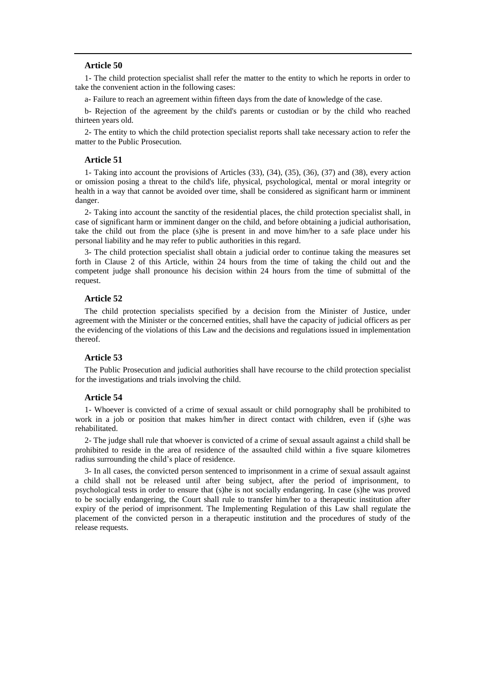1- The child protection specialist shall refer the matter to the entity to which he reports in order to take the convenient action in the following cases:

a- Failure to reach an agreement within fifteen days from the date of knowledge of the case.

b- Rejection of the agreement by the child's parents or custodian or by the child who reached thirteen years old.

2- The entity to which the child protection specialist reports shall take necessary action to refer the matter to the Public Prosecution.

### **Article 51**

1- Taking into account the provisions of Articles (33), (34), (35), (36), (37) and (38), every action or omission posing a threat to the child's life, physical, psychological, mental or moral integrity or health in a way that cannot be avoided over time, shall be considered as significant harm or imminent danger.

2- Taking into account the sanctity of the residential places, the child protection specialist shall, in case of significant harm or imminent danger on the child, and before obtaining a judicial authorisation, take the child out from the place (s)he is present in and move him/her to a safe place under his personal liability and he may refer to public authorities in this regard.

3- The child protection specialist shall obtain a judicial order to continue taking the measures set forth in Clause 2 of this Article, within 24 hours from the time of taking the child out and the competent judge shall pronounce his decision within 24 hours from the time of submittal of the request.

# **Article 52**

The child protection specialists specified by a decision from the Minister of Justice, under agreement with the Minister or the concerned entities, shall have the capacity of judicial officers as per the evidencing of the violations of this Law and the decisions and regulations issued in implementation thereof.

## **Article 53**

The Public Prosecution and judicial authorities shall have recourse to the child protection specialist for the investigations and trials involving the child.

#### **Article 54**

1- Whoever is convicted of a crime of sexual assault or child pornography shall be prohibited to work in a job or position that makes him/her in direct contact with children, even if (s)he was rehabilitated.

2- The judge shall rule that whoever is convicted of a crime of sexual assault against a child shall be prohibited to reside in the area of residence of the assaulted child within a five square kilometres radius surrounding the child's place of residence.

3- In all cases, the convicted person sentenced to imprisonment in a crime of sexual assault against a child shall not be released until after being subject, after the period of imprisonment, to psychological tests in order to ensure that (s)he is not socially endangering. In case (s)he was proved to be socially endangering, the Court shall rule to transfer him/her to a therapeutic institution after expiry of the period of imprisonment. The Implementing Regulation of this Law shall regulate the placement of the convicted person in a therapeutic institution and the procedures of study of the release requests.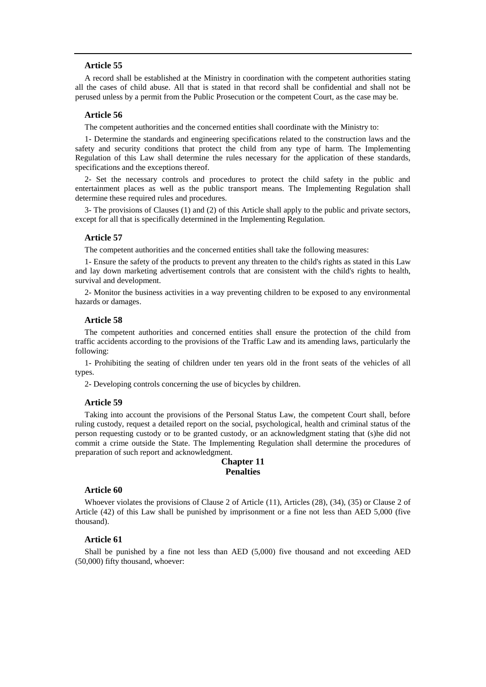A record shall be established at the Ministry in coordination with the competent authorities stating all the cases of child abuse. All that is stated in that record shall be confidential and shall not be perused unless by a permit from the Public Prosecution or the competent Court, as the case may be.

## **Article 56**

The competent authorities and the concerned entities shall coordinate with the Ministry to:

1- Determine the standards and engineering specifications related to the construction laws and the safety and security conditions that protect the child from any type of harm. The Implementing Regulation of this Law shall determine the rules necessary for the application of these standards, specifications and the exceptions thereof.

2- Set the necessary controls and procedures to protect the child safety in the public and entertainment places as well as the public transport means. The Implementing Regulation shall determine these required rules and procedures.

3- The provisions of Clauses (1) and (2) of this Article shall apply to the public and private sectors, except for all that is specifically determined in the Implementing Regulation.

### **Article 57**

The competent authorities and the concerned entities shall take the following measures:

1- Ensure the safety of the products to prevent any threaten to the child's rights as stated in this Law and lay down marketing advertisement controls that are consistent with the child's rights to health, survival and development.

2- Monitor the business activities in a way preventing children to be exposed to any environmental hazards or damages.

### **Article 58**

The competent authorities and concerned entities shall ensure the protection of the child from traffic accidents according to the provisions of the Traffic Law and its amending laws, particularly the following:

1- Prohibiting the seating of children under ten years old in the front seats of the vehicles of all types.

2- Developing controls concerning the use of bicycles by children.

### **Article 59**

Taking into account the provisions of the Personal Status Law, the competent Court shall, before ruling custody, request a detailed report on the social, psychological, health and criminal status of the person requesting custody or to be granted custody, or an acknowledgment stating that (s)he did not commit a crime outside the State. The Implementing Regulation shall determine the procedures of preparation of such report and acknowledgment.

## **Chapter 11 Penalties**

## **Article 60**

Whoever violates the provisions of Clause 2 of Article (11), Articles (28), (34), (35) or Clause 2 of Article (42) of this Law shall be punished by imprisonment or a fine not less than AED 5,000 (five thousand).

## **Article 61**

Shall be punished by a fine not less than AED (5,000) five thousand and not exceeding AED (50,000) fifty thousand, whoever: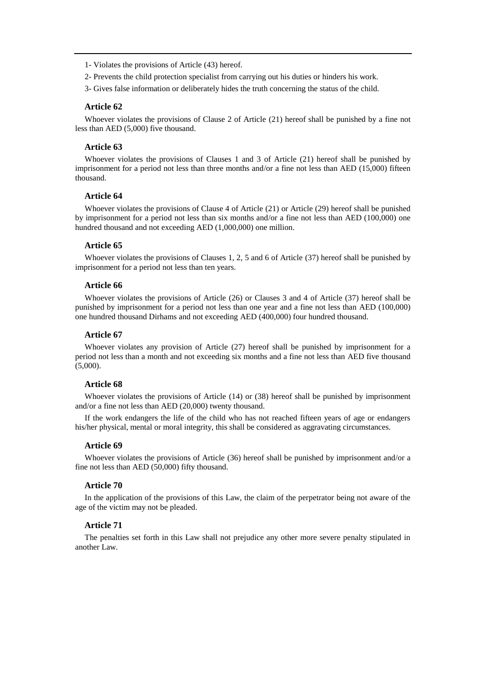1- Violates the provisions of Article (43) hereof.

- 2- Prevents the child protection specialist from carrying out his duties or hinders his work.
- 3- Gives false information or deliberately hides the truth concerning the status of the child.

### **Article 62**

Whoever violates the provisions of Clause 2 of Article (21) hereof shall be punished by a fine not less than AED (5,000) five thousand.

## **Article 63**

Whoever violates the provisions of Clauses 1 and 3 of Article (21) hereof shall be punished by imprisonment for a period not less than three months and/or a fine not less than AED (15,000) fifteen thousand.

#### **Article 64**

Whoever violates the provisions of Clause 4 of Article (21) or Article (29) hereof shall be punished by imprisonment for a period not less than six months and/or a fine not less than AED (100,000) one hundred thousand and not exceeding AED (1,000,000) one million.

# **Article 65**

Whoever violates the provisions of Clauses 1, 2, 5 and 6 of Article (37) hereof shall be punished by imprisonment for a period not less than ten years.

### **Article 66**

Whoever violates the provisions of Article (26) or Clauses 3 and 4 of Article (37) hereof shall be punished by imprisonment for a period not less than one year and a fine not less than AED (100,000) one hundred thousand Dirhams and not exceeding AED (400,000) four hundred thousand.

## **Article 67**

Whoever violates any provision of Article (27) hereof shall be punished by imprisonment for a period not less than a month and not exceeding six months and a fine not less than AED five thousand (5,000).

### **Article 68**

Whoever violates the provisions of Article (14) or (38) hereof shall be punished by imprisonment and/or a fine not less than AED (20,000) twenty thousand.

If the work endangers the life of the child who has not reached fifteen years of age or endangers his/her physical, mental or moral integrity, this shall be considered as aggravating circumstances.

# **Article 69**

Whoever violates the provisions of Article (36) hereof shall be punished by imprisonment and/or a fine not less than AED (50,000) fifty thousand.

## **Article 70**

In the application of the provisions of this Law, the claim of the perpetrator being not aware of the age of the victim may not be pleaded.

### **Article 71**

The penalties set forth in this Law shall not prejudice any other more severe penalty stipulated in another Law.